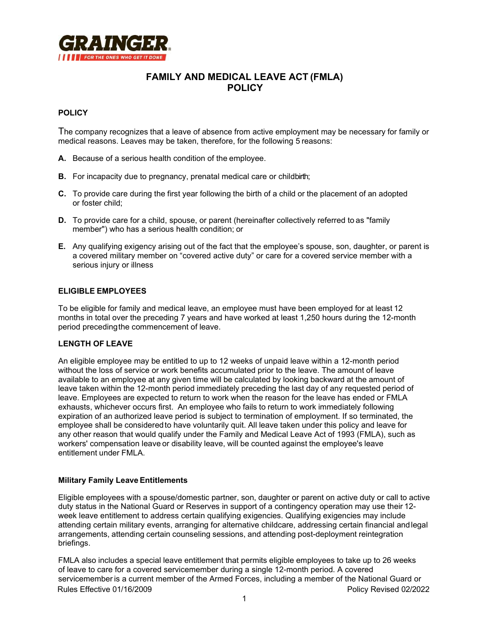

# **FAMILY AND MEDICAL LEAVE ACT (FMLA) POLICY**

### **POLICY**

The company recognizes that a leave of absence from active employment may be necessary for family or medical reasons. Leaves may be taken, therefore, for the following 5 reasons:

- **A.** Because of a serious health condition of the employee.
- **B.** For incapacity due to pregnancy, prenatal medical care or childbirth:
- **C.** To provide care during the first year following the birth of a child or the placement of an adopted or foster child;
- **D.** To provide care for a child, spouse, or parent (hereinafter collectively referred to as "family member") who has a serious health condition; or
- **E.** Any qualifying exigency arising out of the fact that the employee's spouse, son, daughter, or parent is a covered military member on "covered active duty" or care for a covered service member with a serious injury or illness

#### **ELIGIBLE EMPLOYEES**

To be eligible for family and medical leave, an employee must have been employed for at least 12 months in total over the preceding 7 years and have worked at least 1,250 hours during the 12-month period precedingthe commencement of leave.

#### **LENGTH OF LEAVE**

An eligible employee may be entitled to up to 12 weeks of unpaid leave within a 12-month period without the loss of service or work benefits accumulated prior to the leave. The amount of leave available to an employee at any given time will be calculated by looking backward at the amount of leave taken within the 12-month period immediately preceding the last day of any requested period of leave. Employees are expected to return to work when the reason for the leave has ended or FMLA exhausts, whichever occurs first. An employee who fails to return to work immediately following expiration of an authorized leave period is subject to termination of employment. If so terminated, the employee shall be consideredto have voluntarily quit. All leave taken under this policy and leave for any other reason that would qualify under the Family and Medical Leave Act of 1993 (FMLA), such as workers' compensation leave or disability leave, will be counted against the employee's leave entitlement under FMLA.

#### **Military Family Leave Entitlements**

Eligible employees with a spouse/domestic partner, son, daughter or parent on active duty or call to active duty status in the National Guard or Reserves in support of a contingency operation may use their 12 week leave entitlement to address certain qualifying exigencies. Qualifying exigencies may include attending certain military events, arranging for alternative childcare, addressing certain financial andlegal arrangements, attending certain counseling sessions, and attending post-deployment reintegration briefings.

Rules Effective 01/16/2009 **Policy Revised 02/2022** FMLA also includes a special leave entitlement that permits eligible employees to take up to 26 weeks of leave to care for a covered servicemember during a single 12-month period. A covered servicemember is a current member of the Armed Forces, including a member of the National Guard or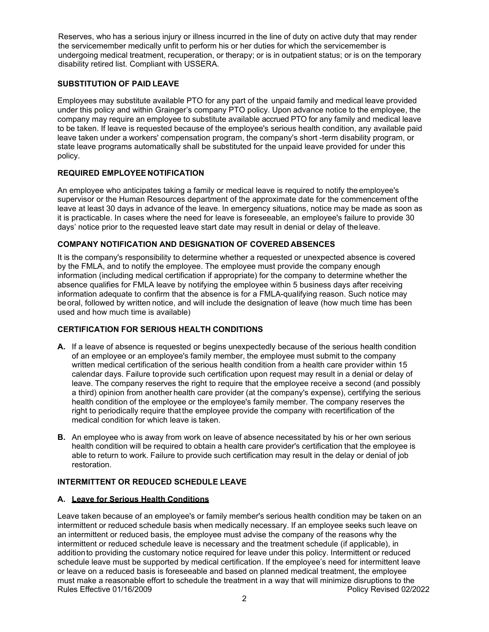Reserves, who has a serious injury or illness incurred in the line of duty on active duty that may render the servicemember medically unfit to perform his or her duties for which the servicemember is undergoing medical treatment, recuperation, or therapy; or is in outpatient status; or is on the temporary disability retired list. Compliant with USSERA.

### **SUBSTITUTION OF PAID LEAVE**

Employees may substitute available PTO for any part of the unpaid family and medical leave provided under this policy and within Grainger's company PTO policy. Upon advance notice to the employee, the company may require an employee to substitute available accrued PTO for any family and medical leave to be taken. If leave is requested because of the employee's serious health condition, any available paid leave taken under a workers' compensation program, the company's short -term disability program, or state leave programs automatically shall be substituted for the unpaid leave provided for under this policy.

### **REQUIRED EMPLOYEE NOTIFICATION**

An employee who anticipates taking a family or medical leave is required to notify theemployee's supervisor or the Human Resources department of the approximate date for the commencement ofthe leave at least 30 days in advance of the leave. In emergency situations, notice may be made as soon as it is practicable. In cases where the need for leave is foreseeable, an employee's failure to provide 30 days' notice prior to the requested leave start date may result in denial or delay of theleave.

### **COMPANY NOTIFICATION AND DESIGNATION OF COVERED ABSENCES**

It is the company's responsibility to determine whether a requested or unexpected absence is covered by the FMLA, and to notify the employee. The employee must provide the company enough information (including medical certification if appropriate) for the company to determine whether the absence qualifies for FMLA leave by notifying the employee within 5 business days after receiving information adequate to confirm that the absence is for a FMLA-qualifying reason. Such notice may beoral, followed by written notice, and will include the designation of leave (how much time has been used and how much time is available)

## **CERTIFICATION FOR SERIOUS HEALTH CONDITIONS**

- **A.** If a leave of absence is requested or begins unexpectedly because of the serious health condition of an employee or an employee's family member, the employee must submit to the company written medical certification of the serious health condition from a health care provider within 15 calendar days. Failure toprovide such certification upon request may result in a denial or delay of leave. The company reserves the right to require that the employee receive a second (and possibly a third) opinion from another health care provider (at the company's expense), certifying the serious health condition of the employee or the employee's family member. The company reserves the right to periodically require thatthe employee provide the company with recertification of the medical condition for which leave is taken.
- **B.** An employee who is away from work on leave of absence necessitated by his or her own serious health condition will be required to obtain a health care provider's certification that the employee is able to return to work. Failure to provide such certification may result in the delay or denial of job restoration.

### **INTERMITTENT OR REDUCED SCHEDULE LEAVE**

### **A. Leave for Serious Health Conditions**

Rules Effective 01/16/2009 **Policy Revised 02/2022** Leave taken because of an employee's or family member's serious health condition may be taken on an intermittent or reduced schedule basis when medically necessary. If an employee seeks such leave on an intermittent or reduced basis, the employee must advise the company of the reasons why the intermittent or reduced schedule leave is necessary and the treatment schedule (if applicable), in additionto providing the customary notice required for leave under this policy. Intermittent or reduced schedule leave must be supported by medical certification. If the employee's need for intermittent leave or leave on a reduced basis is foreseeable and based on planned medical treatment, the employee must make a reasonable effort to schedule the treatment in a way that will minimize disruptions to the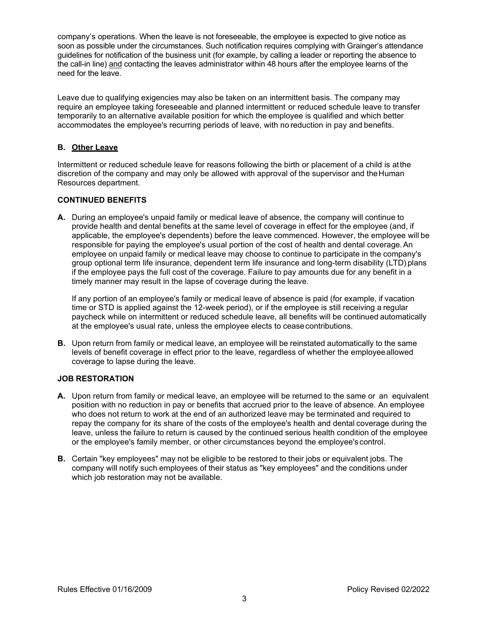company's operations. When the leave is not foreseeable, the employee is expected to give notice as soon as possible under the circumstances. Such notification requires complying with Grainger's attendance guidelines for notification of the business unit (for example, by calling a leader or reporting the absence to the call-in line) and contacting the leaves administrator within 48 hours after the employee learns of the need for the leave.

Leave due to qualifying exigencies may also be taken on an intermittent basis. The company may require an employee taking foreseeable and planned intermittent or reduced schedule leave to transfer temporarily to an alternative available position for which the employee is qualified and which better accommodates the employee's recurring periods of leave, with no reduction in pay and benefits.

### **B. Other Leave**

Intermittent or reduced schedule leave for reasons following the birth or placement of a child is atthe discretion of the company and may only be allowed with approval of the supervisor and theHuman Resources department.

### **CONTINUED BENEFITS**

**A.** During an employee's unpaid family or medical leave of absence, the company will continue to provide health and dental benefits at the same level of coverage in effect for the employee (and, if applicable, the employee's dependents) before the leave commenced. However, the employee will be responsible for paying the employee's usual portion of the cost of health and dental coverage.An employee on unpaid family or medical leave may choose to continue to participate in the company's group optional term life insurance, dependent term life insurance and long-term disability (LTD) plans if the employee pays the full cost of the coverage. Failure to pay amounts due for any benefit in a timely manner may result in the lapse of coverage during the leave.

If any portion of an employee's family or medical leave of absence is paid (for example, if vacation time or STD is applied against the 12-week period), or if the employee is still receiving a regular paycheck while on intermittent or reduced schedule leave, all benefits will be continued automatically at the employee's usual rate, unless the employee elects to ceasecontributions.

**B.** Upon return from family or medical leave, an employee will be reinstated automatically to the same levels of benefit coverage in effect prior to the leave, regardless of whether the employeeallowed coverage to lapse during the leave.

#### **JOB RESTORATION**

- **A.** Upon return from family or medical leave, an employee will be returned to the same or an equivalent position with no reduction in pay or benefits that accrued prior to the leave of absence. An employee who does not return to work at the end of an authorized leave may be terminated and required to repay the company for its share of the costs of the employee's health and dental coverage during the leave, unless the failure to return is caused by the continued serious health condition of the employee or the employee's family member, or other circumstances beyond the employee's control.
- **B.** Certain "key employees" may not be eligible to be restored to their jobs or equivalent jobs. The company will notify such employees of their status as "key employees" and the conditions under which job restoration may not be available.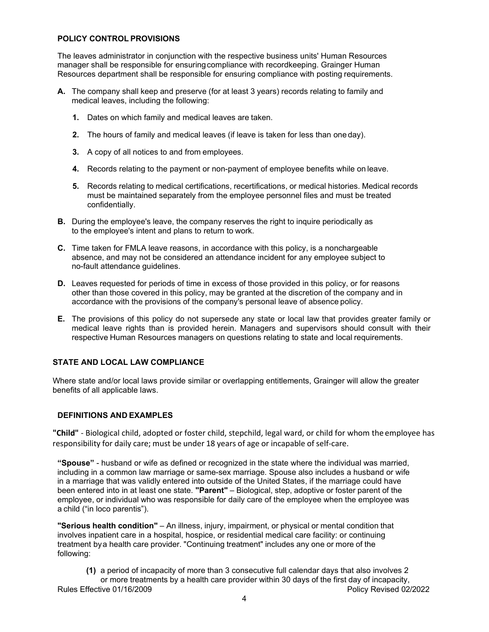#### **POLICY CONTROL PROVISIONS**

The leaves administrator in conjunction with the respective business units' Human Resources manager shall be responsible for ensuringcompliance with recordkeeping. Grainger Human Resources department shall be responsible for ensuring compliance with posting requirements.

- **A.** The company shall keep and preserve (for at least 3 years) records relating to family and medical leaves, including the following:
	- **1.** Dates on which family and medical leaves are taken.
	- **2.** The hours of family and medical leaves (if leave is taken for less than one day).
	- **3.** A copy of all notices to and from employees.
	- **4.** Records relating to the payment or non-payment of employee benefits while on leave.
	- **5.** Records relating to medical certifications, recertifications, or medical histories. Medical records must be maintained separately from the employee personnel files and must be treated confidentially.
- **B.** During the employee's leave, the company reserves the right to inquire periodically as to the employee's intent and plans to return to work.
- **C.** Time taken for FMLA leave reasons, in accordance with this policy, is a nonchargeable absence, and may not be considered an attendance incident for any employee subject to no-fault attendance guidelines.
- **D.** Leaves requested for periods of time in excess of those provided in this policy, or for reasons other than those covered in this policy, may be granted at the discretion of the company and in accordance with the provisions of the company's personal leave of absence policy.
- **E.** The provisions of this policy do not supersede any state or local law that provides greater family or medical leave rights than is provided herein. Managers and supervisors should consult with their respective Human Resources managers on questions relating to state and local requirements.

### **STATE AND LOCAL LAW COMPLIANCE**

Where state and/or local laws provide similar or overlapping entitlements, Grainger will allow the greater benefits of all applicable laws.

### **DEFINITIONS AND EXAMPLES**

**"Child"** - Biological child, adopted or foster child, stepchild, legal ward, or child for whom the employee has responsibility for daily care; must be under 18 years of age or incapable of self-care.

**"Spouse"** - husband or wife as defined or recognized in the state where the individual was married, including in a common law marriage or same-sex marriage. Spouse also includes a husband or wife in a marriage that was validly entered into outside of the United States, if the marriage could have been entered into in at least one state. **"Parent"** – Biological, step, adoptive or foster parent of the employee, or individual who was responsible for daily care of the employee when the employee was a child ("in loco parentis").

**"Serious health condition"** – An illness, injury, impairment, or physical or mental condition that involves inpatient care in a hospital, hospice, or residential medical care facility: or continuing treatment bya health care provider. "Continuing treatment" includes any one or more of the following:

Rules Effective 01/16/2009 **Policy Revised 02/2022 (1)** a period of incapacity of more than 3 consecutive full calendar days that also involves 2 or more treatments by a health care provider within 30 days of the first day of incapacity,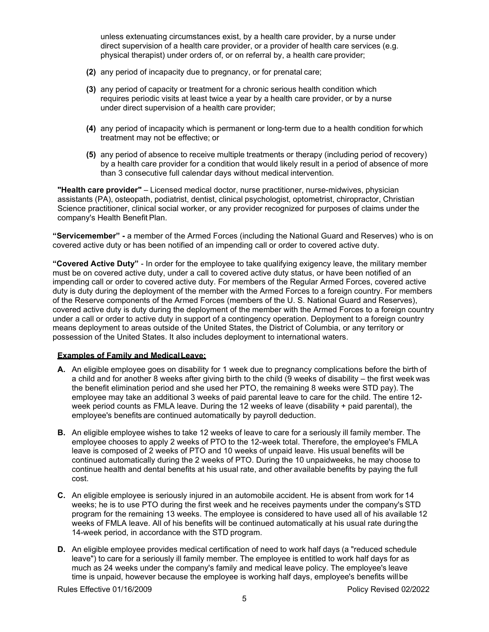unless extenuating circumstances exist, by a health care provider, by a nurse under direct supervision of a health care provider, or a provider of health care services (e.g. physical therapist) under orders of, or on referral by, a health care provider;

- **(2)** any period of incapacity due to pregnancy, or for prenatal care;
- **(3)** any period of capacity or treatment for a chronic serious health condition which requires periodic visits at least twice a year by a health care provider, or by a nurse under direct supervision of a health care provider;
- **(4)** any period of incapacity which is permanent or long-term due to a health condition for which treatment may not be effective; or
- **(5)** any period of absence to receive multiple treatments or therapy (including period of recovery) by a health care provider for a condition that would likely result in a period of absence of more than 3 consecutive full calendar days without medical intervention.

**"Health care provider"** – Licensed medical doctor, nurse practitioner, nurse-midwives, physician assistants (PA), osteopath, podiatrist, dentist, clinical psychologist, optometrist, chiropractor, Christian Science practitioner, clinical social worker, or any provider recognized for purposes of claims under the company's Health Benefit Plan.

**"Servicemember" -** a member of the Armed Forces (including the National Guard and Reserves) who is on covered active duty or has been notified of an impending call or order to covered active duty.

**"Covered Active Duty"** - In order for the employee to take qualifying exigency leave, the military member must be on covered active duty, under a call to covered active duty status, or have been notified of an impending call or order to covered active duty. For members of the Regular Armed Forces, covered active duty is duty during the deployment of the member with the Armed Forces to a foreign country. For members of the Reserve components of the Armed Forces (members of the U. S. National Guard and Reserves), covered active duty is duty during the deployment of the member with the Armed Forces to a foreign country under a call or order to active duty in support of a contingency operation. Deployment to a foreign country means deployment to areas outside of the United States, the District of Columbia, or any territory or possession of the United States. It also includes deployment to international waters.

### **Examples of Family and MedicalLeave:**

- **A.** An eligible employee goes on disability for 1 week due to pregnancy complications before the birth of a child and for another 8 weeks after giving birth to the child (9 weeks of disability – the first week was the benefit elimination period and she used her PTO, the remaining 8 weeks were STD pay). The employee may take an additional 3 weeks of paid parental leave to care for the child. The entire 12 week period counts as FMLA leave. During the 12 weeks of leave (disability + paid parental), the employee's benefits are continued automatically by payroll deduction.
- **B.** An eligible employee wishes to take 12 weeks of leave to care for a seriously ill family member. The employee chooses to apply 2 weeks of PTO to the 12-week total. Therefore, the employee's FMLA leave is composed of 2 weeks of PTO and 10 weeks of unpaid leave. His usual benefits will be continued automatically during the 2 weeks of PTO. During the 10 unpaidweeks, he may choose to continue health and dental benefits at his usual rate, and other available benefits by paying the full cost.
- **C.** An eligible employee is seriously injured in an automobile accident. He is absent from work for 14 weeks; he is to use PTO during the first week and he receives payments under the company's STD program for the remaining 13 weeks. The employee is considered to have used all of his available 12 weeks of FMLA leave. All of his benefits will be continued automatically at his usual rate duringthe 14-week period, in accordance with the STD program.
- **D.** An eligible employee provides medical certification of need to work half days (a "reduced schedule leave") to care for a seriously ill family member. The employee is entitled to work half days for as much as 24 weeks under the company's family and medical leave policy. The employee's leave time is unpaid, however because the employee is working half days, employee's benefits willbe

Rules Effective 01/16/2009 **Policy Revised 02/2022**